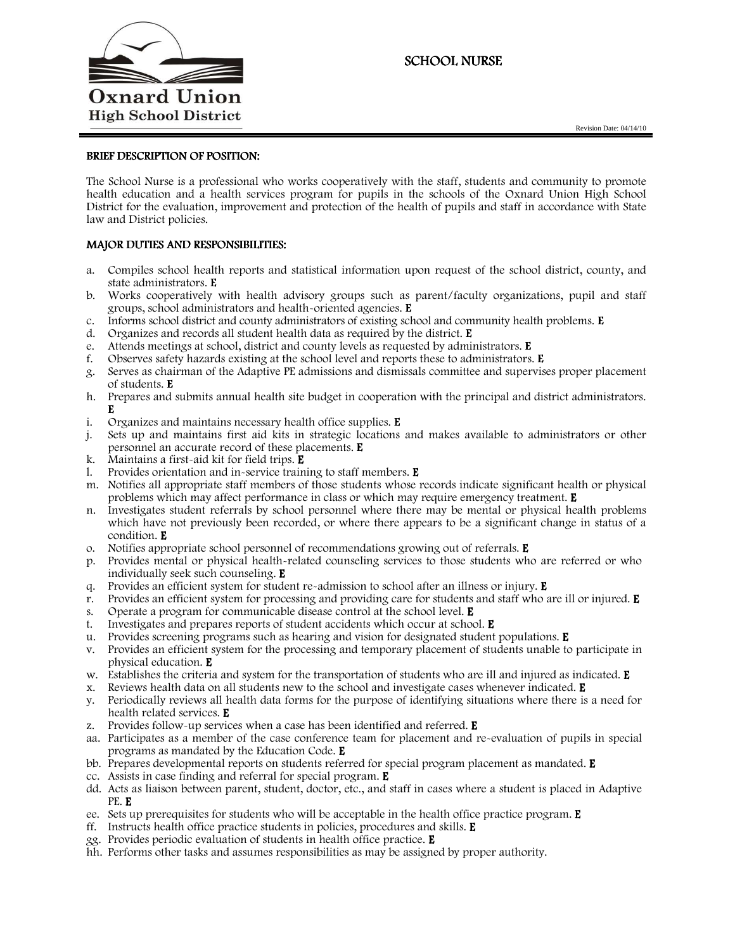

# SCHOOL NURSE

## BRIEF DESCRIPTION OF POSITION:

The School Nurse is a professional who works cooperatively with the staff, students and community to promote health education and a health services program for pupils in the schools of the Oxnard Union High School District for the evaluation, improvement and protection of the health of pupils and staff in accordance with State law and District policies.

## MAJOR DUTIES AND RESPONSIBILITIES:

- a. Compiles school health reports and statistical information upon request of the school district, county, and state administrators. E
- b. Works cooperatively with health advisory groups such as parent/faculty organizations, pupil and staff groups, school administrators and health-oriented agencies.E
- c. Informs school district and county administrators of existing school and community health problems.E
- d. Organizes and records all student health data as required by the district. E
- e. Attends meetings at school, district and county levels as requested by administrators. E
- f. Observes safety hazards existing at the school level and reports these to administrators.  $\bf{E}$
- g. Serves as chairman of the Adaptive PE admissions and dismissals committee and supervises proper placement of students. E
- h. Prepares and submits annual health site budget in cooperation with the principal and district administrators. E
- i. Organizes and maintains necessary health office supplies.  $$
- j. Sets up and maintains first aid kits in strategic locations and makes available to administrators or other personnel an accurate record of these placements. E
- k. Maintains a first-aid kit for field trips. E
- l. Provides orientation and in-service training to staff members. E
- m. Notifies all appropriate staff members of those students whose records indicate significant health or physical problems which may affect performance in class or which may require emergency treatment. E
- n. Investigates student referrals by school personnel where there may be mental or physical health problems which have not previously been recorded, or where there appears to be a significant change in status of a condition. E
- o. Notifies appropriate school personnel of recommendations growing out of referrals.E
- p. Provides mental or physical health-related counseling services to those students who are referred or who individually seek such counseling. E
- q. Provides an efficient system for student re-admission to school after an illness or injury.E
- r. Provides an efficient system for processing and providing care for students and staff who are ill or injured. E
- s. Operate a program for communicable disease control at the school level. **E**
- t. Investigates and prepares reports of student accidents which occur at school. E
- u. Provides screening programs such as hearing and vision for designated student populations. E
- v. Provides an efficient system for the processing and temporary placement of students unable to participate in physical education. E
- w. Establishes the criteria and system for the transportation of students who are ill and injured as indicated. E
- x. Reviews health data on all students new to the school and investigate cases whenever indicated. E
- y. Periodically reviews all health data forms for the purpose of identifying situations where there is a need for health related services. E
- z. Provides follow-up services when a case has been identified and referred. E
- aa. Participates as a member of the case conference team for placement and re-evaluation of pupils in special programs as mandated by the Education Code.  $E$
- bb. Prepares developmental reports on students referred for special program placement as mandated. E
- cc. Assists in case finding and referral for special program. E
- dd. Acts as liaison between parent, student, doctor, etc., and staff in cases where a student is placed in Adaptive PE. E
- ee. Sets up prerequisites for students who will be acceptable in the health office practice program.  $\bf{E}$
- ff. Instructs health office practice students in policies, procedures and skills. E
- gg. Provides periodic evaluation of students in health office practice. E
- hh. Performs other tasks and assumes responsibilities as may be assigned by proper authority.